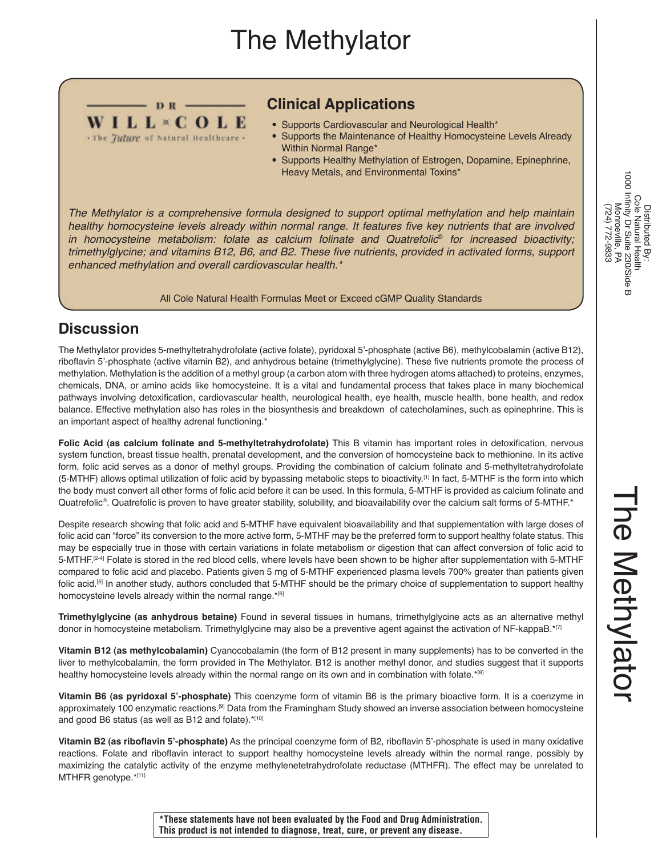# The Methylator



### **Clinical Applications**

- Supports Cardiovascular and Neurological Health\*
- Supports the Maintenance of Healthy Homocysteine Levels Already Within Normal Range\*
- Supports Healthy Methylation of Estrogen, Dopamine, Epinephrine, Heavy Metals, and Environmental Toxins\*

*The Methylator is a comprehensive formula designed to support optimal methylation and help maintain*  healthy homocysteine levels already within normal range. It features five key nutrients that are involved *in homocysteine metabolism: folate as calcium folinate and Quatrefolic*® *for increased bioactivity;*  trimethylglycine; and vitamins B12, B6, and B2. These five nutrients, provided in activated forms, support *enhanced methylation and overall cardiovascular health.\**

All Cole Natural Health Formulas Meet or Exceed cGMP Quality Standards

## **Discussion**

The Methylator provides 5-methyltetrahydrofolate (active folate), pyridoxal 5'-phosphate (active B6), methylcobalamin (active B12), riboflavin 5'-phosphate (active vitamin B2), and anhydrous betaine (trimethylglycine). These five nutrients promote the process of methylation. Methylation is the addition of a methyl group (a carbon atom with three hydrogen atoms attached) to proteins, enzymes, chemicals, DNA, or amino acids like homocysteine. It is a vital and fundamental process that takes place in many biochemical pathways involving detoxification, cardiovascular health, neurological health, eye health, muscle health, bone health, and redox balance. Effective methylation also has roles in the biosynthesis and breakdown of catecholamines, such as epinephrine. This is an important aspect of healthy adrenal functioning.\*

**Folic Acid (as calcium folinate and 5-methyltetrahydrofolate)** This B vitamin has important roles in detoxification, nervous system function, breast tissue health, prenatal development, and the conversion of homocysteine back to methionine. In its active form, folic acid serves as a donor of methyl groups. Providing the combination of calcium folinate and 5-methyltetrahydrofolate (5-MTHF) allows optimal utilization of folic acid by bypassing metabolic steps to bioactivity.[1] In fact, 5-MTHF is the form into which the body must convert all other forms of folic acid before it can be used. In this formula, 5-MTHF is provided as calcium folinate and Quatrefolic®. Quatrefolic is proven to have greater stability, solubility, and bioavailability over the calcium salt forms of 5-MTHF.\*

Despite research showing that folic acid and 5-MTHF have equivalent bioavailability and that supplementation with large doses of folic acid can "force" its conversion to the more active form, 5-MTHF may be the preferred form to support healthy folate status. This may be especially true in those with certain variations in folate metabolism or digestion that can affect conversion of folic acid to 5-MTHF.<sup>[2-4]</sup> Folate is stored in the red blood cells, where levels have been shown to be higher after supplementation with 5-MTHF compared to folic acid and placebo. Patients given 5 mg of 5-MTHF experienced plasma levels 700% greater than patients given folic acid.<sup>[5]</sup> In another study, authors concluded that 5-MTHF should be the primary choice of supplementation to support healthy homocysteine levels already within the normal range.\*[6]

**Trimethylglycine (as anhydrous betaine)** Found in several tissues in humans, trimethylglycine acts as an alternative methyl donor in homocysteine metabolism. Trimethylglycine may also be a preventive agent against the activation of NF-kappaB.\*[7]

**Vitamin B12 (as methylcobalamin)** Cyanocobalamin (the form of B12 present in many supplements) has to be converted in the liver to methylcobalamin, the form provided in The Methylator. B12 is another methyl donor, and studies suggest that it supports healthy homocysteine levels already within the normal range on its own and in combination with folate.\*[8]

**Vitamin B6 (as pyridoxal 5'-phosphate)** This coenzyme form of vitamin B6 is the primary bioactive form. It is a coenzyme in approximately 100 enzymatic reactions.[9] Data from the Framingham Study showed an inverse association between homocysteine and good B6 status (as well as B12 and folate).\*[10]

**Vitamin B2 (as riboflavin 5'-phosphate)** As the principal coenzyme form of B2, riboflavin 5'-phosphate is used in many oxidative reactions. Folate and riboflavin interact to support healthy homocysteine levels already within the normal range, possibly by maximizing the catalytic activity of the enzyme methylenetetrahydrofolate reductase (MTHFR). The effect may be unrelated to MTHFR genotype.\*[11]

**\*These statements have not been evaluated by the Food and Drug Administration. This product is not intended to diagnose, treat, cure, or prevent any disease.**